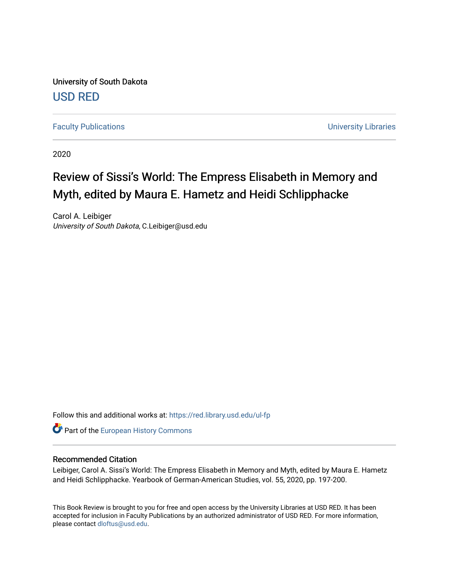University of South Dakota [USD RED](https://red.library.usd.edu/) 

[Faculty Publications](https://red.library.usd.edu/ul-fp) **Example 2018** The University Libraries

2020

## Review of Sissi's World: The Empress Elisabeth in Memory and Myth, edited by Maura E. Hametz and Heidi Schlipphacke

Carol A. Leibiger University of South Dakota, C.Leibiger@usd.edu

Follow this and additional works at: [https://red.library.usd.edu/ul-fp](https://red.library.usd.edu/ul-fp?utm_source=red.library.usd.edu%2Ful-fp%2F64&utm_medium=PDF&utm_campaign=PDFCoverPages) 

**Part of the [European History Commons](http://network.bepress.com/hgg/discipline/492?utm_source=red.library.usd.edu%2Ful-fp%2F64&utm_medium=PDF&utm_campaign=PDFCoverPages)** 

## Recommended Citation

Leibiger, Carol A. Sissi's World: The Empress Elisabeth in Memory and Myth, edited by Maura E. Hametz and Heidi Schlipphacke. Yearbook of German-American Studies, vol. 55, 2020, pp. 197-200.

This Book Review is brought to you for free and open access by the University Libraries at USD RED. It has been accepted for inclusion in Faculty Publications by an authorized administrator of USD RED. For more information, please contact [dloftus@usd.edu](mailto:dloftus@usd.edu).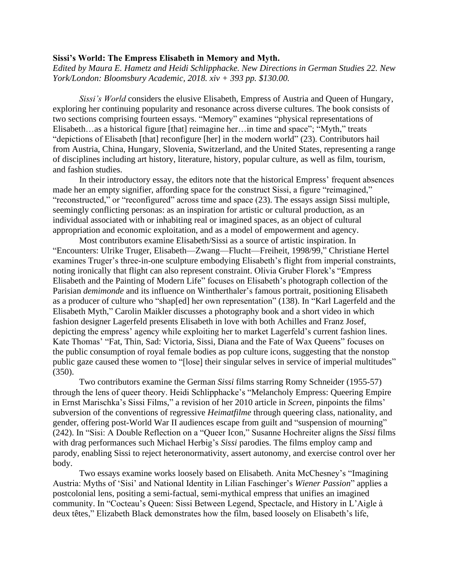## **Sissi's World: The Empress Elisabeth in Memory and Myth.**

*Edited by Maura E. Hametz and Heidi Schlipphacke. New Directions in German Studies 22. New York/London: Bloomsbury Academic, 2018. xiv + 393 pp. \$130.00.*

*Sissi's World* considers the elusive Elisabeth, Empress of Austria and Queen of Hungary, exploring her continuing popularity and resonance across diverse cultures. The book consists of two sections comprising fourteen essays. "Memory" examines "physical representations of Elisabeth…as a historical figure [that] reimagine her…in time and space"; "Myth," treats "depictions of Elisabeth [that] reconfigure [her] in the modern world" (23). Contributors hail from Austria, China, Hungary, Slovenia, Switzerland, and the United States, representing a range of disciplines including art history, literature, history, popular culture, as well as film, tourism, and fashion studies.

In their introductory essay, the editors note that the historical Empress' frequent absences made her an empty signifier, affording space for the construct Sissi, a figure "reimagined," "reconstructed," or "reconfigured" across time and space (23). The essays assign Sissi multiple, seemingly conflicting personas: as an inspiration for artistic or cultural production, as an individual associated with or inhabiting real or imagined spaces, as an object of cultural appropriation and economic exploitation, and as a model of empowerment and agency.

Most contributors examine Elisabeth/Sissi as a source of artistic inspiration. In "Encounters: Ulrike Truger, Elisabeth—Zwang—Flucht—Freiheit, 1998/99," Christiane Hertel examines Truger's three-in-one sculpture embodying Elisabeth's flight from imperial constraints, noting ironically that flight can also represent constraint. Olivia Gruber Florek's "Empress Elisabeth and the Painting of Modern Life" focuses on Elisabeth's photograph collection of the Parisian *demimonde* and its influence on Wintherthaler's famous portrait, positioning Elisabeth as a producer of culture who "shap[ed] her own representation" (138). In "Karl Lagerfeld and the Elisabeth Myth," Carolin Maikler discusses a photography book and a short video in which fashion designer Lagerfeld presents Elisabeth in love with both Achilles and Franz Josef, depicting the empress' agency while exploiting her to market Lagerfeld's current fashion lines. Kate Thomas' "Fat, Thin, Sad: Victoria, Sissi, Diana and the Fate of Wax Queens" focuses on the public consumption of royal female bodies as pop culture icons, suggesting that the nonstop public gaze caused these women to "[lose] their singular selves in service of imperial multitudes" (350).

Two contributors examine the German *Sissi* films starring Romy Schneider (1955-57) through the lens of queer theory. Heidi Schlipphacke's "Melancholy Empress: Queering Empire in Ernst Marischka's Sissi Films," a revision of her 2010 article in *Screen*, pinpoints the films' subversion of the conventions of regressive *Heimatfilme* through queering class, nationality, and gender, offering post-World War II audiences escape from guilt and "suspension of mourning" (242). In "Sisi: A Double Reflection on a "Queer Icon," Susanne Hochreiter aligns the *Sissi* films with drag performances such Michael Herbig's *Sissi* parodies. The films employ camp and parody, enabling Sissi to reject heteronormativity, assert autonomy, and exercise control over her body.

Two essays examine works loosely based on Elisabeth. Anita McChesney's "Imagining Austria: Myths of 'Sisi' and National Identity in Lilian Faschinger's *Wiener Passion*" applies a postcolonial lens, positing a semi-factual, semi-mythical empress that unifies an imagined community. In "Cocteau's Queen: Sissi Between Legend, Spectacle, and History in L'Aigle à deux têtes," Elizabeth Black demonstrates how the film, based loosely on Elisabeth's life,